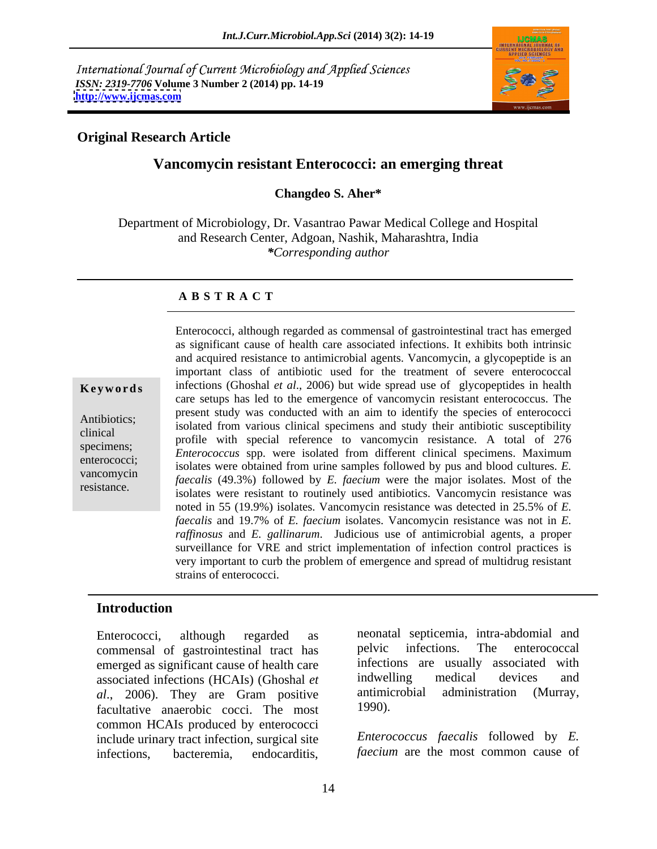International Journal of Current Microbiology and Applied Sciences *ISSN: 2319-7706* **Volume 3 Number 2 (2014) pp. 14-19 <http://www.ijcmas.com>**



### **Original Research Article**

## **Vancomycin resistant Enterococci: an emerging threat**

**Changdeo S. Aher\***

Department of Microbiology, Dr. Vasantrao Pawar Medical College and Hospital and Research Center, Adgoan, Nashik, Maharashtra, India *\*Corresponding author*

### **A B S T R A C T**

**Keywords** infections (Ghoshal *et al.*, 2006) but wide spread use of glycopeptides in health Antibiotics;<br>
isolated from various clinical specimens and study their antibiotic susceptibility clinical profile with special reference to vancomycin resistance. A total of 276 specimens; From the special reference to valid specific resistance. The total of 270<br>enterococcus spp. were isolated from different clinical specimens. Maximum enterococci;<br>
isolates were obtained from urine samples followed by pus and blood cultures. *E.* vancomycin *faecalis* (49.3%) followed by *E. faecium* were the major isolates. Most of the resistance.  $\frac{1}{2}$  isolates were resistant to routinely used antibiotics. Vancomycin resistance was Enterococci, although regarded as commensal of gastrointestinal tract has emerged as significant cause of health care associated infections. It exhibits both intrinsic and acquired resistance to antimicrobial agents. Vancomycin, a glycopeptide is an important class of antibiotic used for the treatment of severe enterococcal care setups has led to the emergence of vancomycin resistant enterococcus. The present study was conducted with an aim to identify the species of enterococci noted in 55 (19.9%) isolates. Vancomycin resistance was detected in 25.5% of *E. faecalis* and 19.7% of *E. faecium* isolates. Vancomycin resistance was not in *E. raffinosus* and *E. gallinarum*. Judicious use of antimicrobial agents, a proper surveillance for VRE and strict implementation of infection control practices is very important to curb the problem of emergence and spread of multidrug resistant strains of enterococci.

### **Introduction**

commensal of gastrointestinal tract has pelvic infections. The enterococcal emerged as significant cause of health care<br>associated infections (HCAIs) (Ghoshal *et* indwelling medical devices and associated infections (HCAIs) (Ghoshal *et* indwelling medical devices and all 2006) They are Gram positive antimicrobial administration (Murray, *al.*, 2006). They are Gram positive antimic<br>facultative anaerobic cocci The most 1990). facultative anaerobic cocci. The most common HCAIs produced by enterococci include urinary tract infection, surgical site infections, bacteremia, endocarditis, *faecium* are the most common cause of

Enterococci, although regarded as neonatal septicemia, intra-abdomial and pelvic infections. The enterococcal infections are usually associated with indwelling medical devices and antimicrobial administration (Murray, 1990).

*Enterococcus faecalis* followed by *E.*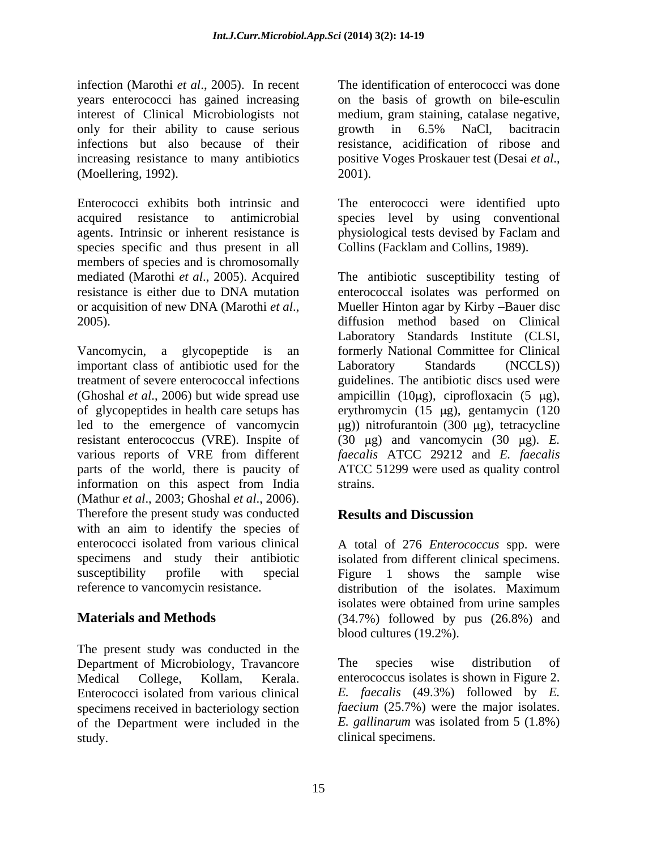infection (Marothi *et al*., 2005). In recent years enterococci has gained increasing on the basis of growth on bile-esculin interest of Clinical Microbiologists not medium, gram staining, catalase negative, only for their ability to cause serious growth in 6.5% NaCl, bacitracin infections but also because of their resistance, acidification of ribose and increasing resistance to many antibiotics positive Voges Proskauer test (Desai *et al.*, 2001).<br>
2001). (Moellering, 1992).

Enterococci exhibits both intrinsic and The enterococci were identified upto acquired resistance to antimicrobial species level by using conventional agents. Intrinsic or inherent resistance is physiological tests devised by Faclam and species specific and thus present in all members of species and is chromosomally mediated (Marothi *et al*., 2005). Acquired The antibiotic susceptibility testing of resistance is either due to DNA mutation enterococcal isolates was performed on

Vancomycin, a glycopeptide is an formerly National Committee for Clinical important class of antibiotic used for the Laboratory Standards (NCCLS)) treatment of severe enterococcal infections guidelines. The antibiotic discs used were (Ghoshal *et al.*, 2006) but wide spread use ampicillin (10 $\mu$ g), ciprofloxacin (5  $\mu$ g), of glycopeptides in health care setups has erythromycin (15 g), gentamycin (120 led to the emergence of vancomycin ( $\mu$ g)) nitrofurantoin (300  $\mu$ g), tetracycline resistant enterococcus (VRE). Inspite of various reports of VRE from different *faecalis* ATCC 29212 and *E. faecalis* parts of the world, there is paucity of ATCC 51299 were used as quality control information on this aspect from India (Mathur *et al*., 2003; Ghoshal *et al*., 2006). Therefore the present study was conducted **Results and Discussion** with an aim to identify the species of enterococci isolated from various clinical A total of 276 *Enterococcus* spp. were specimens and study their antibiotic isolated from different clinical specimens. susceptibility profile with special Figure 1 shows the sample wise reference to vancomycin resistance.  $\qquad \qquad$  distribution of the isolates. Maximum

The present study was conducted in the Department of Microbiology, Travancore The species wise distribution of Enterococci isolated from various clinical specimens received in bacteriology section faecium (25.7%) were the major isolates.<br>
of the Department were included in the E. gallinarum was isolated from 5 (1.8%) of the Department were included in the study. clinical specimens.

The identification of enterococci was done growth in 6.5% NaCl, bacitracin

Collins (Facklam and Collins, 1989).

or acquisition of new DNA (Marothi *et al*., 2005). diffusion method based on Clinical Mueller Hinton agar by Kirby -Bauer disc Laboratory Standards Institute (CLSI, Laboratory Standards (NCCLS)) (30  $\mu$ g) and vancomycin (30  $\mu$ g). *E.* strains.

# **Results and Discussion**

**Materials and Methods** (34.7%) followed by pus (26.8%) and isolated from different clinical specimens.<br>Figure 1 shows the sample wise distribution of the isolates. Maximum isolates were obtained from urine samples blood cultures (19.2%).

Medical College, Kollam, Kerala. enterococcus isolates is shown in Figure 2. The species wise distribution of *E. faecalis* (49.3%) followed by *E. faecium* (25.7%) were the major isolates. *E. gallinarum* was isolated from 5 (1.8%)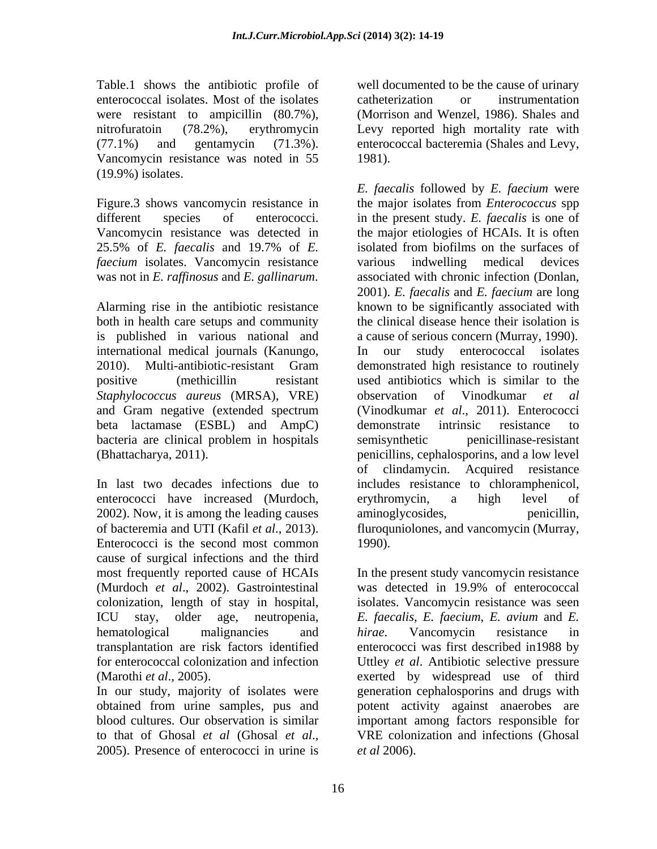Table.1 shows the antibiotic profile of well documented to be the cause of urinary enterococcal isolates. Most of the isolates were resistant to ampicillin (80.7%), nitrofuratoin (78.2%), erythromycin Levy reported high mortality rate with (77.1%) and gentamycin (71.3%). enterococcal bacteremia (Shales and Levy, Vancomycin resistance was noted in 55 1981). (19.9%) isolates.

25.5% of *E. faecalis* and 19.7% of *E. faecium* isolates. Vancomycin resistance various indwelling medical devices

both in health care setups and community is published in various national and international medical journals (Kanungo, *Staphylococcus aureus* (MRSA), VRE) and Gram negative (extended spectrum beta lactamase (ESBL) and AmpC) demonstrate intrinsic resistance to bacteria are clinical problem in hospitals semisynthetic penicillinase-resistant

enterococci have increased (Murdoch, 2002). Now, it is among the leading causes Enterococci is the second most common 1990). cause of surgical infections and the third (Murdoch *et al*., 2002). Gastrointestinal

catheterization or instrumentation (Morrison and Wenzel, 1986). Shales and 1981).

Figure.3 shows vancomycin resistance in the major isolates from *Enterococcus* spp different species of enterococci. in the present study. *E. faecalis* is one of Vancomycin resistance was detected in the major etiologies of HCAIs. It is often was not in *E. raffinosus* and *E. gallinarum*. associated with chronic infection (Donlan, Alarming rise in the antibiotic resistance known to be significantly associated with 2010). Multi-antibiotic-resistant Gram demonstrated high resistance to routinely positive (methicillin resistant used antibiotics which is similar to the (Bhattacharya, 2011). penicillins, cephalosporins, and a low level In last two decades infections due to includes resistance to chloramphenicol, of bacteremia and UTI (Kafil *et al*., 2013). fluroquniolones, and vancomycin (Murray, *E. faecalis* followed by *E. faecium* were isolated from biofilms on the surfaces of various indwelling medical devices 2001). *E. faecalis* and *E. faecium* are long the clinical disease hence their isolation is a cause of serious concern (Murray, 1990). our study enterococcal isolates observation of Vinodkumar *et al* (Vinodkumar *et al*., 2011). Enterococci demonstrate intrinsic resistance to semisynthetic penicillinase-resistant of clindamycin. Acquired resistance erythromycin, a high level of aminoglycosides, 1990).

most frequently reported cause of HCAIs In the present study vancomycin resistance colonization, length of stay in hospital, isolates. Vancomycin resistance was seen ICU stay, older age, neutropenia, *E. faecalis*, *E. faecium*, *E. avium* and *E.*  hematological malignancies and *hirae*. Vancomycin resistance in transplantation are risk factors identified enterococci was first described in1988 by for enterococcal colonization and infection Uttley *et al*. Antibiotic selective pressure (Marothi *et al*., 2005). exerted by widespread use of third In our study, majority of isolates were generation cephalosporins and drugs with obtained from urine samples, pus and potent activity against anaerobes are blood cultures. Our observation is similar important among factors responsible for to that of Ghosal *et al* (Ghosal *et al.*, VRE colonization and infections (Ghosal 2005). Presence of enterococci in urine is *et al* 2006). was detected in 19.9% of enterococcal *hirae*. Vancomycin resistance in VRE colonization and infections (Ghosal *et al* 2006).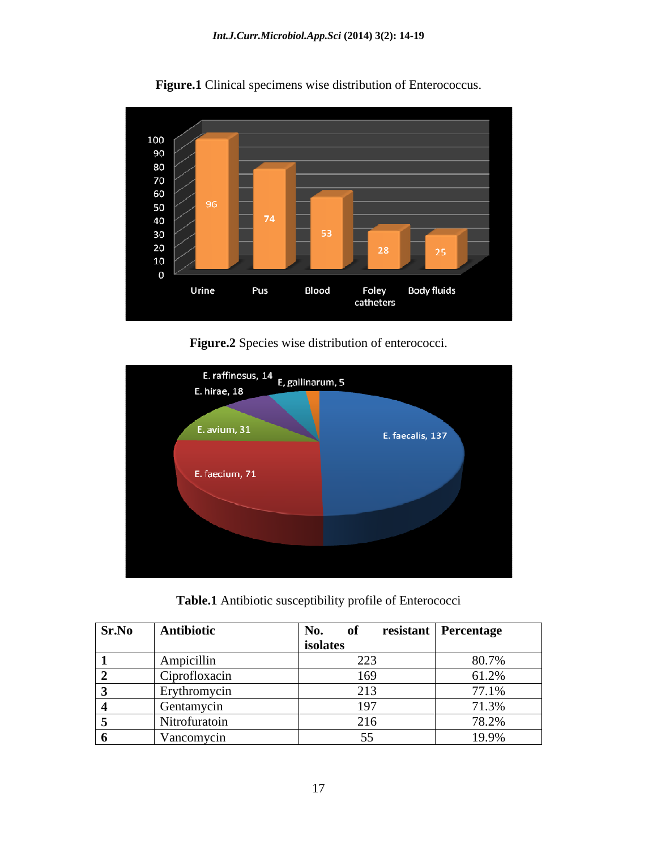

**Figure.1** Clinical specimens wise distribution of Enterococcus.

**Figure.2** Species wise distribution of enterococci.



**Table.1** Antibiotic susceptibility profile of Enterococci

| <b>Sr.No Antibiotic</b>  | No.                 | <b>resistant</b> Percentage |
|--------------------------|---------------------|-----------------------------|
|                          | <b>isolates</b>     |                             |
| , шркли                  | $\sim$              | 80.7%                       |
| Ciprofloxaci             | 169                 | 61.2%                       |
| Erythromyci <sup>-</sup> |                     | 77.1%                       |
| Gentamycin               | 197                 | 71.3%                       |
| Nitrofuratoin            | $\mathbf{C}$<br>210 | 78.2%                       |
| Vancomycin               |                     | 19.9%                       |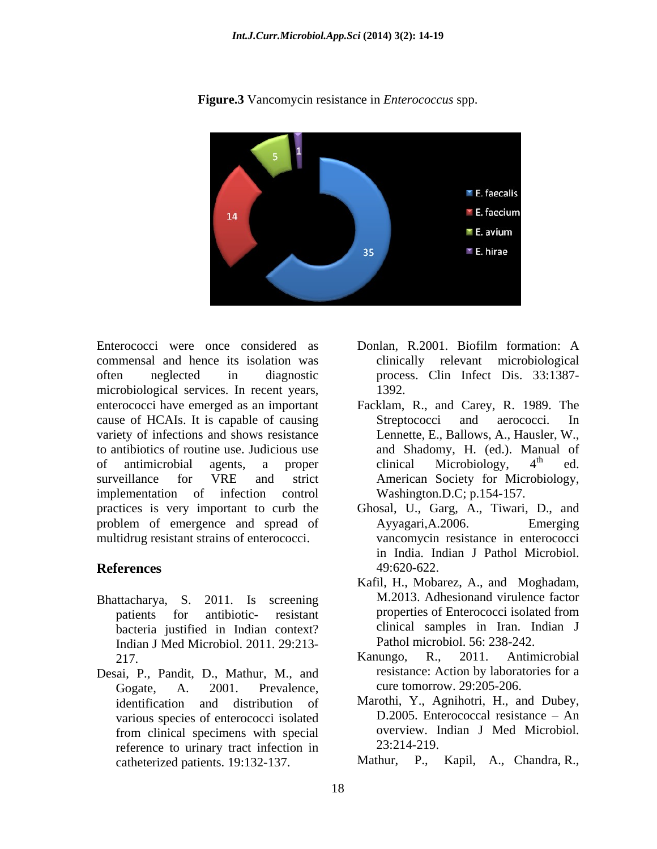

**Figure.3** Vancomycin resistance in *Enterococcus* spp.

commensal and hence its isolation was often neglected in diagnostic process. Clin Infect Dis. 33:1387 microbiological services. In recent years, 1392.<br>enterococci have emerged as an important Facklam, R., and Carey, R. 1989. The cause of HCAIs. It is capable of causing variety of infections and shows resistance to antibiotics of routine use. Judicious use of antimicrobial agents, a proper clinical Microbiology, 4<sup>th</sup> ed. surveillance for VRE and strict American Society for Microbiology, implementation of infection control practices is very important to curb the Ghosal, U., Garg, A., Tiwari, D., and problem of emergence and spread of Ayyagari, A.2006. Emerging multidrug resistant strains of enterococci.

- Bhattacharya, S. 2011. Is screening bacteria justified in Indian context? Indian J Med Microbiol. 2011. 29:213-
- Desai, P., Pandit, D., Mathur, M., and Gogate, A. 2001. Prevalence, cure tomorrow. 29:205-206. various species of enterococci isolated from clinical specimens with special overview. I<br>reference to urinary tract infection in 23:214-219. reference to urinary tract infection in catheterized patients. 19:132-137. Mathur, P., Kapil, A., Chandra, R.,
- Enterococci were once considered as Donlan, R.2001, Biofilm formation: A Donlan, R.2001. Biofilm formation: A clinically relevant microbiological 1392.
	- Facklam, R., and Carey, R. 1989. The Streptococci and aerococci. In Lennette, E., Ballows, A., Hausler, W., and Shadomy, H. (ed.). Manual of clinical Microbiology,  $4^{\text{th}}$  ed.  $\phi$  and  $\phi$  and  $\phi$  and  $\phi$  and  $\phi$  and  $\phi$  and  $\phi$  and  $\phi$  and  $\phi$  and  $\phi$  and  $\phi$  and  $\phi$  and  $\phi$  and  $\phi$  and  $\phi$  and  $\phi$  and  $\phi$  and  $\phi$  and  $\phi$  and  $\phi$  and  $\phi$  and  $\phi$  and  $\phi$  and  $\phi$  and  $\phi$  ed. Washington.D.C; p.154-157.
- **References** 49:620-622. Ayyagari,A.2006. Emerging vancomycin resistance in enterococci in India. Indian J Pathol Microbiol. 49:620-622.
	- patients for antibiotic- resistant properties of Enterococci isolated from Kafil, H., Mobarez, A., and Moghadam, M.2013. Adhesionand virulence factor properties of Enterococci isolated from clinical samples in Iran. Indian J Pathol microbiol. 56: 238-242.
	- 217. Kanungo, R., 2011. Antimicrobial Kanungo, R., 2011. Antimicrobial resistance: Action by laboratories for a
	- identification and distribution of Marothi, Y., Agnihotri, H., and Dubey,  $D.2005$ . Enterococcal resistance  $-$  An overview. Indian J Med Microbiol. 23:214-219.
		-